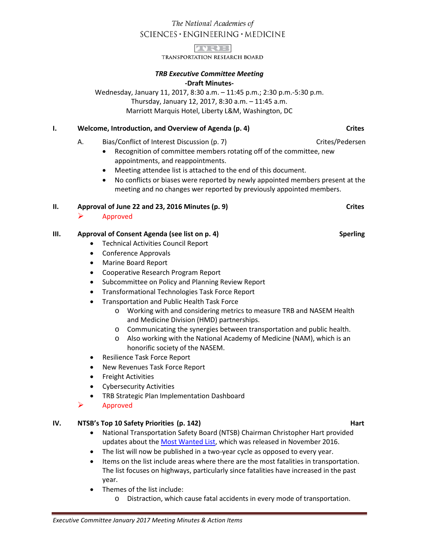# The National Academies of SCIENCES · ENGINEERING · MEDICINE



TRANSPORTATION RESEARCH BOARD

# *TRB Executive Committee Meeting* **-Draft Minutes-**

Wednesday, January 11, 2017, 8:30 a.m. – 11:45 p.m.; 2:30 p.m.-5:30 p.m. Thursday, January 12, 2017, 8:30 a.m. – 11:45 a.m. Marriott Marquis Hotel, Liberty L&M, Washington, DC

# **I. CONSILLEGAT WEIGHT WEIGHT WEIGHT OVER A CONSIDENT AND THE CRITES CONSIDERAT A CRITES** Crites

- A. Bias/Conflict of Interest Discussion (p. 7) Crites/Pedersen
	- Recognition of committee members rotating off of the committee, new appointments, and reappointments.
	- Meeting attendee list is attached to the end of this document.
	- No conflicts or biases were reported by newly appointed members present at the meeting and no changes wer reported by previously appointed members.

# **II. Approval of June 22 and 23, 2016 Minutes (p. 9) Crites**

Approved

# **III. Approval of Consent Agenda** (see list on p. 4) Sperling

- Technical Activities Council Report
- Conference Approvals
- Marine Board Report
- Cooperative Research Program Report
- Subcommittee on Policy and Planning Review Report
- Transformational Technologies Task Force Report
- Transportation and Public Health Task Force
	- o Working with and considering metrics to measure TRB and NASEM Health and Medicine Division (HMD) partnerships.
	- o Communicating the synergies between transportation and public health.
	- o Also working with the National Academy of Medicine (NAM), which is an honorific society of the NASEM.
- Resilience Task Force Report
- New Revenues Task Force Report
- Freight Activities
- Cybersecurity Activities
- TRB Strategic Plan Implementation Dashboard
- Approved

# **IV. NTSB's Top 10 Safety Priorities (p. 142) Hart**

- National Transportation Safety Board (NTSB) Chairman Christopher Hart provided updates about the [Most Wanted List,](https://www.ntsb.gov/safety/mwl/Pages/default.aspx) which was released in November 2016.
- The list will now be published in a two-year cycle as opposed to every year.
- Items on the list include areas where there are the most fatalities in transportation. The list focuses on highways, particularly since fatalities have increased in the past year.
- Themes of the list include:
	- o Distraction, which cause fatal accidents in every mode of transportation.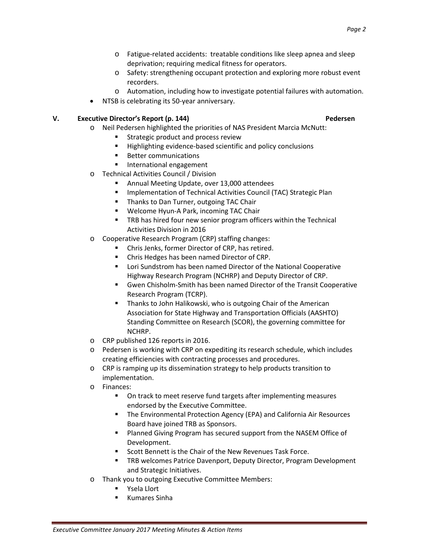- o Fatigue-related accidents: treatable conditions like sleep apnea and sleep deprivation; requiring medical fitness for operators.
- o Safety: strengthening occupant protection and exploring more robust event recorders.
- o Automation, including how to investigate potential failures with automation.
- NTSB is celebrating its 50-year anniversary.

### **V. Executive Director's Report (p. 144) Pedersen**

- o Neil Pedersen highlighted the priorities of NAS President Marcia McNutt:
	- Strategic product and process review
	- **Highlighting evidence-based scientific and policy conclusions**
	- **Better communications**
	- **International engagement**
- o Technical Activities Council / Division
	- Annual Meeting Update, over 13,000 attendees
	- **Implementation of Technical Activities Council (TAC) Strategic Plan**
	- **Thanks to Dan Turner, outgoing TAC Chair**
	- Welcome Hyun-A Park, incoming TAC Chair
	- **TRB** has hired four new senior program officers within the Technical Activities Division in 2016
- o Cooperative Research Program (CRP) staffing changes:
	- Chris Jenks, former Director of CRP, has retired.
	- Chris Hedges has been named Director of CRP.
	- **EXTERGHT EXECTS IN A LOCATA COOPERATIVE Lori Sundstrom has been named Director of the National Cooperative** Highway Research Program (NCHRP) and Deputy Director of CRP.
	- Gwen Chisholm-Smith has been named Director of the Transit Cooperative Research Program (TCRP).
	- **Thanks to John Halikowski, who is outgoing Chair of the American** Association for State Highway and Transportation Officials (AASHTO) Standing Committee on Research (SCOR), the governing committee for NCHRP.
- o CRP published 126 reports in 2016.
- o Pedersen is working with CRP on expediting its research schedule, which includes creating efficiencies with contracting processes and procedures.
- o CRP is ramping up its dissemination strategy to help products transition to implementation.
- o Finances:
	- On track to meet reserve fund targets after implementing measures endorsed by the Executive Committee.
	- The Environmental Protection Agency (EPA) and California Air Resources Board have joined TRB as Sponsors.
	- **Planned Giving Program has secured support from the NASEM Office of** Development.
	- Scott Bennett is the Chair of the New Revenues Task Force.
	- **TRB welcomes Patrice Davenport, Deputy Director, Program Development** and Strategic Initiatives.
- o Thank you to outgoing Executive Committee Members:
	- **Table 13 Ysela Llort**
	- **Kumares Sinha**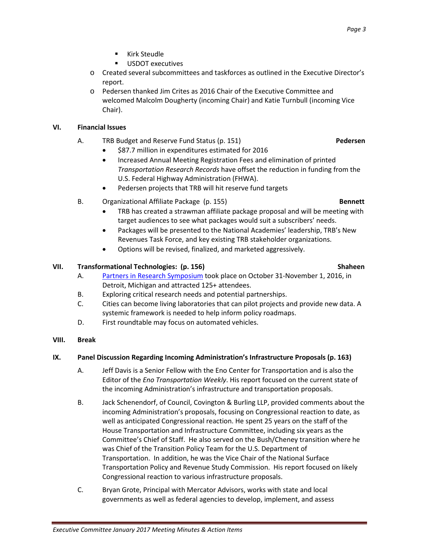- **Kirk Steudle**
- **USDOT** executives
- o Created several subcommittees and taskforces as outlined in the Executive Director's report.
- o Pedersen thanked Jim Crites as 2016 Chair of the Executive Committee and welcomed Malcolm Dougherty (incoming Chair) and Katie Turnbull (incoming Vice Chair).

## **VI. Financial Issues**

- A. TRB Budget and Reserve Fund Status (p. 151) **Pedersen**
	- \$87.7 million in expenditures estimated for 2016
	- Increased Annual Meeting Registration Fees and elimination of printed *Transportation Research Records* have offset the reduction in funding from the U.S. Federal Highway Administration (FHWA).
	- Pedersen projects that TRB will hit reserve fund targets
- B. Organizational Affiliate Package (p. 155) **Bennett**
	- TRB has created a strawman affiliate package proposal and will be meeting with target audiences to see what packages would suit a subscribers' needs.
	- Packages will be presented to the National Academies' leadership, TRB's New Revenues Task Force, and key existing TRB stakeholder organizations.
	- Options will be revised, finalized, and marketed aggressively.

# **VII.** Transformational Technologies: (p. 156) Shaheen Shaheen

- A. [Partners in Research Symposium](http://www.trb.org/Main/Blurbs/174253.aspx) took place on October 31-November 1, 2016, in Detroit, Michigan and attracted 125+ attendees.
- B. Exploring critical research needs and potential partnerships.
- C. Cities can become living laboratories that can pilot projects and provide new data. A systemic framework is needed to help inform policy roadmaps.
- D. First roundtable may focus on automated vehicles.
- **VIII. Break**

### **IX. Panel Discussion Regarding Incoming Administration's Infrastructure Proposals (p. 163)**

- A. Jeff Davis is a Senior Fellow with the Eno Center for Transportation and is also the Editor of the *Eno Transportation Weekly*. His report focused on the current state of the incoming Administration's infrastructure and transportation proposals.
- B. Jack Schenendorf, of Council, Covington & Burling LLP, provided comments about the incoming Administration's proposals, focusing on Congressional reaction to date, as well as anticipated Congressional reaction. He spent 25 years on the staff of the House Transportation and Infrastructure Committee, including six years as the Committee's Chief of Staff. He also served on the Bush/Cheney transition where he was Chief of the Transition Policy Team for the U.S. Department of Transportation. In addition, he was the Vice Chair of the National Surface Transportation Policy and Revenue Study Commission. His report focused on likely Congressional reaction to various infrastructure proposals.
- C. Bryan Grote, Principal with Mercator Advisors, works with state and local governments as well as federal agencies to develop, implement, and assess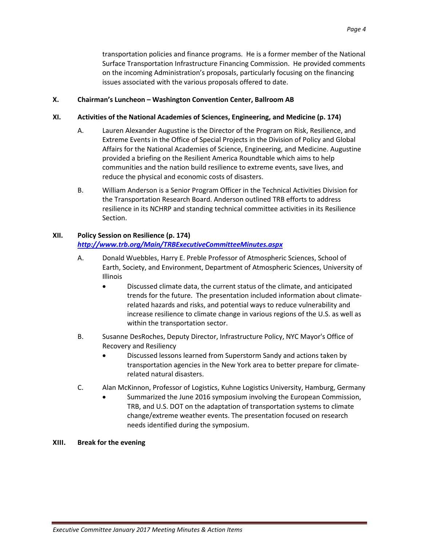transportation policies and finance programs. He is a former member of the National Surface Transportation Infrastructure Financing Commission. He provided comments on the incoming Administration's proposals, particularly focusing on the financing issues associated with the various proposals offered to date.

### **X. Chairman's Luncheon – Washington Convention Center, Ballroom AB**

## **XI. Activities of the National Academies of Sciences, Engineering, and Medicine (p. 174)**

- A. Lauren Alexander Augustine is the Director of the Program on Risk, Resilience, and Extreme Events in the Office of Special Projects in the Division of Policy and Global Affairs for the National Academies of Science, Engineering, and Medicine. Augustine provided a briefing on the Resilient America Roundtable which aims to help communities and the nation build resilience to extreme events, save lives, and reduce the physical and economic costs of disasters.
- B. William Anderson is a Senior Program Officer in the Technical Activities Division for the Transportation Research Board. Anderson outlined TRB efforts to address resilience in its NCHRP and standing technical committee activities in its Resilience Section.

# **XII. Policy Session on Resilience (p. 174)**

# *<http://www.trb.org/Main/TRBExecutiveCommitteeMinutes.aspx>*

- A. Donald Wuebbles, Harry E. Preble Professor of Atmospheric Sciences, School of Earth, Society, and Environment, Department of Atmospheric Sciences, University of Illinois
	- Discussed climate data, the current status of the climate, and anticipated trends for the future. The presentation included information about climaterelated hazards and risks, and potential ways to reduce vulnerability and increase resilience to climate change in various regions of the U.S. as well as within the transportation sector.
- B. Susanne DesRoches, Deputy Director, Infrastructure Policy, NYC Mayor's Office of Recovery and Resiliency
	- Discussed lessons learned from Superstorm Sandy and actions taken by transportation agencies in the New York area to better prepare for climaterelated natural disasters.
- C. Alan McKinnon, Professor of Logistics, Kuhne Logistics University, Hamburg, Germany
	- Summarized the June 2016 symposium involving the European Commission, TRB, and U.S. DOT on the adaptation of transportation systems to climate change/extreme weather events. The presentation focused on research needs identified during the symposium.

### **XIII. Break for the evening**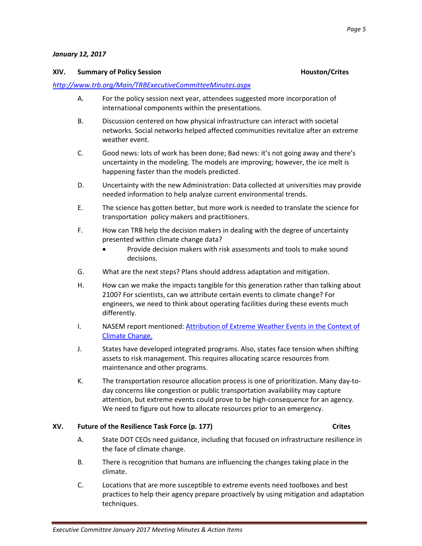### *January 12, 2017*

### **XIV. Summary of Policy Session Houston/Crites**

### *<http://www.trb.org/Main/TRBExecutiveCommitteeMinutes.aspx>*

- A. For the policy session next year, attendees suggested more incorporation of international components within the presentations.
- B. Discussion centered on how physical infrastructure can interact with societal networks. Social networks helped affected communities revitalize after an extreme weather event.
- C. Good news: lots of work has been done; Bad news: it's not going away and there's uncertainty in the modeling. The models are improving; however, the ice melt is happening faster than the models predicted.
- D. Uncertainty with the new Administration: Data collected at universities may provide needed information to help analyze current environmental trends.
- E. The science has gotten better, but more work is needed to translate the science for transportation policy makers and practitioners.
- F. How can TRB help the decision makers in dealing with the degree of uncertainty presented within climate change data?
	- Provide decision makers with risk assessments and tools to make sound decisions.
- G. What are the next steps? Plans should address adaptation and mitigation.
- H. How can we make the impacts tangible for this generation rather than talking about 2100? For scientists, can we attribute certain events to climate change? For engineers, we need to think about operating facilities during these events much differently.
- I. NASEM report mentioned: Attribution of Extreme Weather Events in the Context of [Climate Change.](https://www.nap.edu/catalog/21852/attribution-of-extreme-weather-events-in-the-context-of-climate-change)
- J. States have developed integrated programs. Also, states face tension when shifting assets to risk management. This requires allocating scarce resources from maintenance and other programs.
- K. The transportation resource allocation process is one of prioritization. Many day-today concerns like congestion or public transportation availability may capture attention, but extreme events could prove to be high-consequence for an agency. We need to figure out how to allocate resources prior to an emergency.

### **XV. Future of the Resilience Task Force (p. 177) Crites**

- A. State DOT CEOs need guidance, including that focused on infrastructure resilience in the face of climate change.
- B. There is recognition that humans are influencing the changes taking place in the climate.
- C. Locations that are more susceptible to extreme events need toolboxes and best practices to help their agency prepare proactively by using mitigation and adaptation techniques.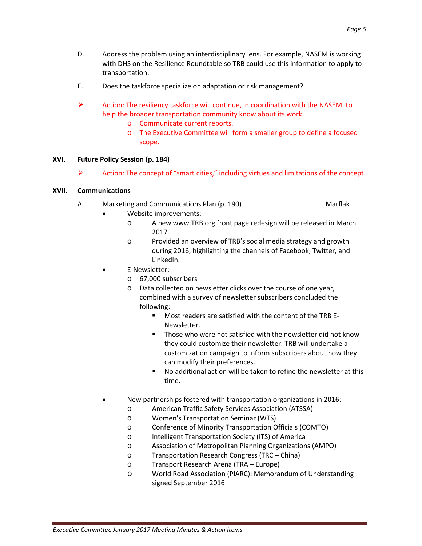- D. Address the problem using an interdisciplinary lens. For example, NASEM is working with DHS on the Resilience Roundtable so TRB could use this information to apply to transportation.
- E. Does the taskforce specialize on adaptation or risk management?
- Action: The resiliency taskforce will continue, in coordination with the NASEM, to help the broader transportation community know about its work.
	- o Communicate current reports.
	- o The Executive Committee will form a smaller group to define a focused scope.

## **XVI. Future Policy Session (p. 184)**

Action: The concept of "smart cities," including virtues and limitations of the concept.

### **XVII. Communications**

- A. Marketing and Communications Plan (p. 190) Marflak
	- Website improvements:
		- o A new www.TRB.org front page redesign will be released in March 2017.
		- o Provided an overview of TRB's social media strategy and growth during 2016, highlighting the channels of Facebook, Twitter, and LinkedIn.
	- E-Newsletter:
		- o 67,000 subscribers
		- o Data collected on newsletter clicks over the course of one year, combined with a survey of newsletter subscribers concluded the following:
			- Most readers are satisfied with the content of the TRB E-Newsletter.
			- **Those who were not satisfied with the newsletter did not know** they could customize their newsletter. TRB will undertake a customization campaign to inform subscribers about how they can modify their preferences.
			- No additional action will be taken to refine the newsletter at this time.
	- New partnerships fostered with transportation organizations in 2016:
		- o American Traffic Safety Services Association (ATSSA)
		- o Women's Transportation Seminar (WTS)
		- o Conference of Minority Transportation Officials (COMTO)
		- o Intelligent Transportation Society (ITS) of America
		- o Association of Metropolitan Planning Organizations (AMPO)
		- o Transportation Research Congress (TRC China)
		- o Transport Research Arena (TRA Europe)
		- o World Road Association (PIARC): Memorandum of Understanding signed September 2016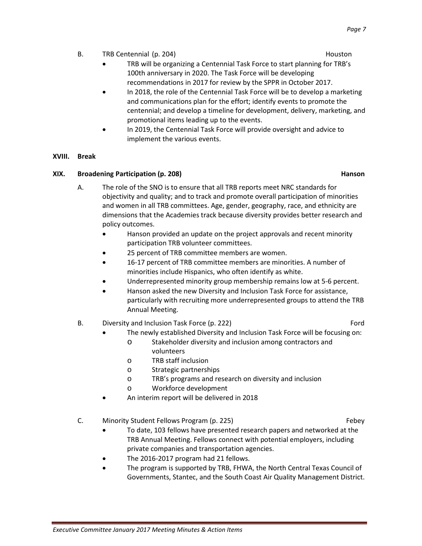- B. TRB Centennial (p. 204) **Houston** Houston
	- TRB will be organizing a Centennial Task Force to start planning for TRB's 100th anniversary in 2020. The Task Force will be developing recommendations in 2017 for review by the SPPR in October 2017.
	- In 2018, the role of the Centennial Task Force will be to develop a marketing and communications plan for the effort; identify events to promote the centennial; and develop a timeline for development, delivery, marketing, and promotional items leading up to the events.
	- In 2019, the Centennial Task Force will provide oversight and advice to implement the various events.

### **XVIII. Break**

### **XIX.** Broadening Participation (p. 208) **Hanson Hanson Hanson**

- A. The role of the SNO is to ensure that all TRB reports meet NRC standards for objectivity and quality; and to track and promote overall participation of minorities and women in all TRB committees. Age, gender, geography, race, and ethnicity are dimensions that the Academies track because diversity provides better research and policy outcomes.
	- Hanson provided an update on the project approvals and recent minority participation TRB volunteer committees.
	- 25 percent of TRB committee members are women.
	- 16-17 percent of TRB committee members are minorities. A number of minorities include Hispanics, who often identify as white.
	- Underrepresented minority group membership remains low at 5-6 percent.
	- Hanson asked the new Diversity and Inclusion Task Force for assistance, particularly with recruiting more underrepresented groups to attend the TRB Annual Meeting.
- B. Diversity and Inclusion Task Force (p. 222) Charles Containers and the Board of Tord
	- The newly established Diversity and Inclusion Task Force will be focusing on:
		- o Stakeholder diversity and inclusion among contractors and volunteers
		- o TRB staff inclusion
		- o Strategic partnerships
		- o TRB's programs and research on diversity and inclusion
		- o Workforce development
	- An interim report will be delivered in 2018
- C. Minority Student Fellows Program (p. 225) Febey
	- To date, 103 fellows have presented research papers and networked at the TRB Annual Meeting. Fellows connect with potential employers, including private companies and transportation agencies.
	- The 2016-2017 program had 21 fellows.
	- The program is supported by TRB, FHWA, the North Central Texas Council of Governments, Stantec, and the South Coast Air Quality Management District.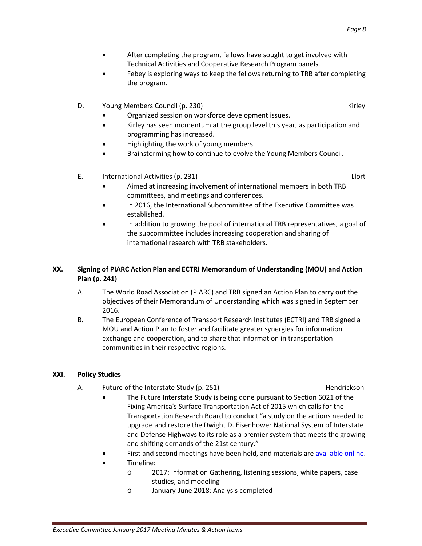- After completing the program, fellows have sought to get involved with Technical Activities and Cooperative Research Program panels.
- Febey is exploring ways to keep the fellows returning to TRB after completing the program.
- D. Young Members Council (p. 230) Niet and Sound Assembly Council (p. 230)
	- Organized session on workforce development issues.
	- Kirley has seen momentum at the group level this year, as participation and programming has increased.
	- Highlighting the work of young members.
	- Brainstorming how to continue to evolve the Young Members Council.
- E. International Activities (p. 231) Llort
	- Aimed at increasing involvement of international members in both TRB committees, and meetings and conferences.
	- In 2016, the International Subcommittee of the Executive Committee was established.
	- In addition to growing the pool of international TRB representatives, a goal of the subcommittee includes increasing cooperation and sharing of international research with TRB stakeholders.

# **XX. Signing of PIARC Action Plan and ECTRI Memorandum of Understanding (MOU) and Action Plan (p. 241)**

- A. The World Road Association (PIARC) and TRB signed an Action Plan to carry out the objectives of their Memorandum of Understanding which was signed in September 2016.
- B. The European Conference of Transport Research Institutes (ECTRI) and TRB signed a MOU and Action Plan to foster and facilitate greater synergies for information exchange and cooperation, and to share that information in transportation communities in their respective regions.

# **XXI. Policy Studies**

A. Future of the Interstate Study (p. 251) Hendrickson

- The Future Interstate Study is being done pursuant to Section 6021 of the Fixing America's Surface Transportation Act of 2015 which calls for the Transportation Research Board to conduct "a study on the actions needed to upgrade and restore the Dwight D. Eisenhower National System of Interstate and Defense Highways to its role as a premier system that meets the growing and shifting demands of the 21st century."
- First and second meetings have been held, and materials are [available online.](http://www.trb.org/FutureInterstate/Future_Interstate_Meetings.aspx)
- Timeline:
	- o 2017: Information Gathering, listening sessions, white papers, case studies, and modeling
	- o January-June 2018: Analysis completed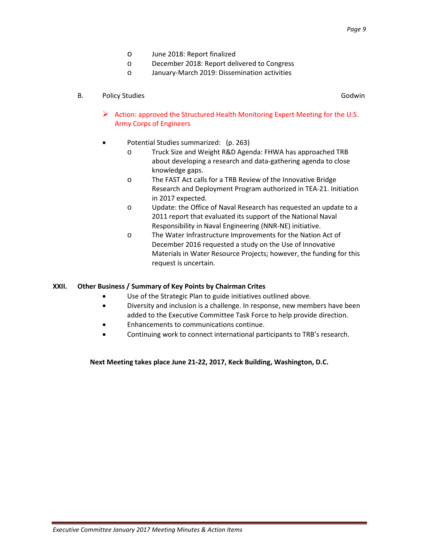- o June 2018: Report finalized
- o December 2018: Report delivered to Congress
- o January-March 2019: Dissemination activities

### B. Policy Studies Godwin and Contract Contract Contract Contract Contract Contract Contract Contract Contract Contract Contract Contract Contract Contract Contract Contract Contract Contract Contract Contract Contract Cont

- Action: approved the Structured Health Monitoring Expert Meeting for the U.S. Army Corps of Engineers
- Potential Studies summarized: (p. 263)
	- o Truck Size and Weight R&D Agenda: FHWA has approached TRB about developing a research and data-gathering agenda to close knowledge gaps.
	- o The FAST Act calls for a TRB Review of the Innovative Bridge Research and Deployment Program authorized in TEA-21. Initiation in 2017 expected.
	- o Update: the Office of Naval Research has requested an update to a 2011 report that evaluated its support of the National Naval Responsibility in Naval Engineering (NNR-NE) initiative.
	- o The Water Infrastructure Improvements for the Nation Act of December 2016 requested a study on the Use of Innovative Materials in Water Resource Projects; however, the funding for this request is uncertain.

### **XXII. Other Business / Summary of Key Points by Chairman Crites**

- Use of the Strategic Plan to guide initiatives outlined above.
- Diversity and inclusion is a challenge. In response, new members have been added to the Executive Committee Task Force to help provide direction.
- Enhancements to communications continue.
- Continuing work to connect international participants to TRB's research.

### **Next Meeting takes place June 21-22, 2017, Keck Building, Washington, D.C.**